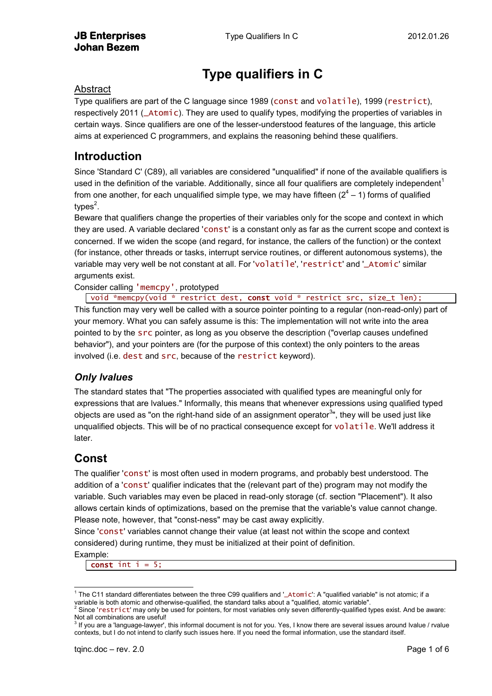# **Type qualifiers in C**

#### Abstract

Type qualifiers are part of the C language since 1989 (const and volatile), 1999 (restrict), respectively 2011 (\_Atomic). They are used to qualify types, modifying the properties of variables in certain ways. Since qualifiers are one of the lesser-understood features of the language, this article aims at experienced C programmers, and explains the reasoning behind these qualifiers.

### **Introduction**

Since 'Standard C' (C89), all variables are considered "unqualified" if none of the available qualifiers is used in the definition of the variable. Additionally, since all four qualifiers are completely independent<sup>1</sup> from one another, for each unqualified simple type, we may have fifteen  $(2^4 - 1)$  forms of qualified types<sup>2</sup>.

<span id="page-0-0"></span>Beware that qualifiers change the properties of their variables only for the scope and context in which they are used. A variable declared 'const' is a constant only as far as the current scope and context is concerned. If we widen the scope (and regard, for instance, the callers of the function) or the context (for instance, other threads or tasks, interrupt service routines, or different autonomous systems), the variable may very well be not constant at all. For 'volatile', 'restrict' and '\_Atomic' similar arguments exist.

Consider calling 'memcpy', prototyped

void \*memcpy(void \* restrict dest, const void \* restrict src, size\_t len); This function may very well be called with a source pointer pointing to a regular (non-read-only) part of your memory. What you can safely assume is this: The implementation will not write into the area pointed to by the src pointer, as long as you observe the description ("overlap causes undefined behavior"), and your pointers are (for the purpose of this context) the only pointers to the areas involved (i.e. dest and src, because of the restrict keyword).

### *Only lvalues*

The standard states that "The properties associated with qualified types are meaningful only for expressions that are lvalues." Informally, this means that whenever expressions using qualified typed objects are used as "on the right-hand side of an assignment operator<sup>3</sup>", they will be used just like unqualified objects. This will be of no practical consequence except for volatile. We'll address it later.

### **Const**

The qualifier 'const' is most often used in modern programs, and probably best understood. The addition of a 'const' qualifier indicates that the (relevant part of the) program may not modify the variable. Such variables may even be placed in read-only storage (cf. section ["Placement"](#page-1-0)). It also allows certain kinds of optimizations, based on the premise that the variable's value cannot change. Please note, however, that "const-ness" may be cast away explicitly.

Since 'const' variables cannot change their value (at least not within the scope and context considered) during runtime, they must be initialized at their point of definition.

Example:

const int  $i = 5$ ;

<sup>-</sup><sup>1</sup> The C11 standard differentiates between the three C99 qualifiers and '\_Atomic': A "qualified variable" is not atomic; if a variable is both atomic and otherwise-qualified, the standard talks about a "qualified, atomic variable".

<span id="page-0-1"></span> $^2$  Since 'restrict' may only be used for pointers, for most variables only seven differently-qualified types exist. And be aware: Not all combinations are useful!<br><sup>3</sup> If you are a 'language-lawyer', this informal document is not for you. Yes, I know there are several issues around Ivalue / rvalue

contexts, but I do not intend to clarify such issues here. If you need the formal information, use the standard itself.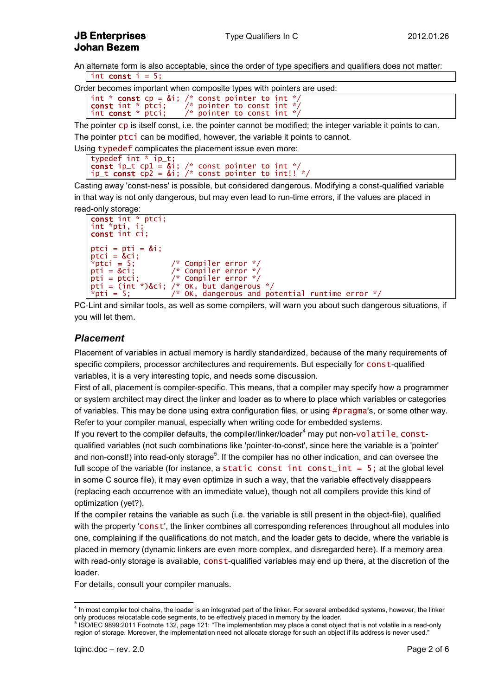An alternate form is also acceptable, since the order of type specifiers and qualifiers does not matter: int const  $i = 5$ ;

<span id="page-1-1"></span>Order becomes important when composite types with pointers are used:

int  $*$  const  $cp = 8i$ ; /\* const pointer to int  $*/$ const int  $*$  ptci;  $/*$  pointer to const int  $*/$ int const  $*$  ptci;  $/*$  pointer to const int  $*/$ 

The pointer cp is itself const, i.e. the pointer cannot be modified; the integer variable it points to can.

The pointer ptci can be modified, however, the variable it points to cannot.

Using typedef complicates the placement issue even more:

```
typedef int * ip_t;
const ip_t cp1 = &i; /* const pointer to int */
ip_t const cp2 = 8i; /* const pointer to int!! */
```
Casting away 'const-ness' is possible, but considered dangerous. Modifying a const-qualified variable in that way is not only dangerous, but may even lead to run-time errors, if the values are placed in read-only storage:

```
const int * ptci;
int *pti, i;
const int ci;
ptci = pti = 8i;ptci = &ci;<br>*ptci = 5;
*ptci = 5; \overline{ } /* Compiler error */<br>pti = &ci; /* Compiler error */
                          y^* Compiler error \frac{x}{x}pti = ptci; /* Compiler error */
pti = (int * )&ci; /* OK, but dangerous */<br>*pti = 5; /* OK, dangerous and po
                          \frac{p}{p} oK, dangerous and potential runtime error */
```
PC-Lint and similar tools, as well as some compilers, will warn you about such dangerous situations, if you will let them.

#### <span id="page-1-0"></span>*Placement*

Placement of variables in actual memory is hardly standardized, because of the many requirements of specific compilers, processor architectures and requirements. But especially for const-qualified variables, it is a very interesting topic, and needs some discussion.

First of all, placement is compiler-specific. This means, that a compiler may specify how a programmer or system architect may direct the linker and loader as to where to place which variables or categories of variables. This may be done using extra configuration files, or using #pragma's, or some other way. Refer to your compiler manual, especially when writing code for embedded systems.

If you revert to the compiler defaults, the compiler/linker/loader<sup>4</sup> may put non-volatile, constqualified variables (not such combinations like 'pointer-to-const', since here the variable is a 'pointer' and non-const!) into read-only storage<sup>5</sup>. If the compiler has no other indication, and can oversee the full scope of the variable (for instance, a static const int const int = 5; at the global level in some C source file), it may even optimize in such a way, that the variable effectively disappears (replacing each occurrence with an immediate value), though not all compilers provide this kind of optimization (yet?).

If the compiler retains the variable as such (i.e. the variable is still present in the object-file), qualified with the property 'const', the linker combines all corresponding references throughout all modules into one, complaining if the qualifications do not match, and the loader gets to decide, where the variable is placed in memory (dynamic linkers are even more complex, and disregarded here). If a memory area with read-only storage is available, const-qualified variables may end up there, at the discretion of the loader.

For details, consult your compiler manuals.

 4 In most compiler tool chains, the loader is an integrated part of the linker. For several embedded systems, however, the linker only produces relocatable code segments, to be effectively placed in memory by the loader.<br><sup>5</sup> ISO/IEC 9899:2011 Footnote 132, page 121: "The implementation may place a const object that is not volatile in a read-only

region of storage. Moreover, the implementation need not allocate storage for such an object if its address is never used."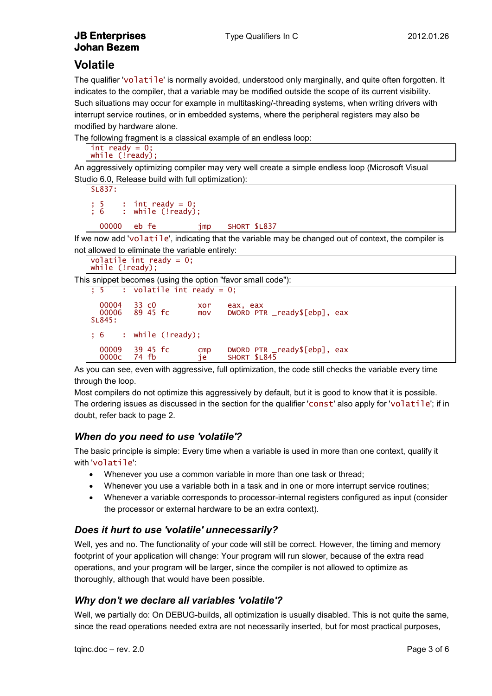### **Volatile**

The qualifier 'volatile' is normally avoided, understood only marginally, and quite often forgotten. It indicates to the compiler, that a variable may be modified outside the scope of its current visibility. Such situations may occur for example in multitasking/-threading systems, when writing drivers with interrupt service routines, or in embedded systems, where the peripheral registers may also be modified by hardware alone.

The following fragment is a classical example of an endless loop:

```
int ready = 0;
while (!ready);
```
An aggressively optimizing compiler may very well create a simple endless loop (Microsoft Visual Studio 6.0, Release build with full optimization):

```
$L837:
 5 : int ready = 0;<br>6 : while (!ready): while (!ready);
   00000 eb fe jmp SHORT $L837
```
If we now add 'volatile', indicating that the variable may be changed out of context, the compiler is not allowed to eliminate the variable entirely:

```
volatile int ready = 0;
while (!ready);
```
This snippet becomes (using the option "favor small code"):

|                      | $\frac{1}{2}$ ; 5 : volatile int ready = 0; |            |                                              |
|----------------------|---------------------------------------------|------------|----------------------------------------------|
| 00004<br>\$L845:     | 33 c0<br>00006 89 45 fc                     | xor<br>mov | eax, eax<br>DWORD PTR _ready\$[ebp], eax     |
|                      | ; 6 : while (!ready);                       |            |                                              |
| 00009<br>0000c 74 fb | 39 45 fc                                    | cmp<br>je  | DWORD PTR _ready\$[ebp], eax<br>SHORT \$L845 |

As you can see, even with aggressive, full optimization, the code still checks the variable every time through the loop.

Most compilers do not optimize this aggressively by default, but it is good to know that it is possible. The ordering issues as discussed in the section for the qualifier 'const' also apply for 'volatile'; if in doubt, refer back to page [2.](#page-1-1)

#### *When do you need to use 'volatile'?*

The basic principle is simple: Every time when a variable is used in more than one context, qualify it with volatile':

- Whenever you use a common variable in more than one task or thread;
- Whenever you use a variable both in a task and in one or more interrupt service routines;
- Whenever a variable corresponds to processor-internal registers configured as input (consider the processor or external hardware to be an extra context).

#### *Does it hurt to use 'volatile' unnecessarily?*

Well, yes and no. The functionality of your code will still be correct. However, the timing and memory footprint of your application will change: Your program will run slower, because of the extra read operations, and your program will be larger, since the compiler is not allowed to optimize as thoroughly, although that would have been possible.

#### *Why don't we declare all variables 'volatile'?*

Well, we partially do: On DEBUG-builds, all optimization is usually disabled. This is not quite the same, since the read operations needed extra are not necessarily inserted, but for most practical purposes,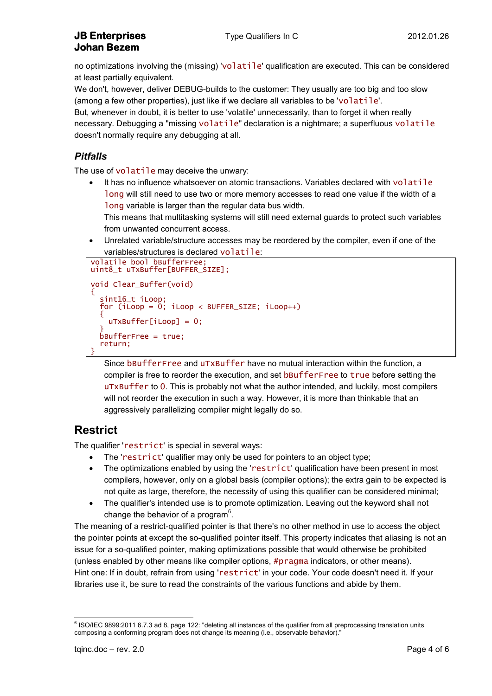#### **JB Enterprises** Type Qualifiers In C 2012.01.26 **Johan Bezem**

no optimizations involving the (missing) 'volatile' qualification are executed. This can be considered at least partially equivalent.

We don't, however, deliver DEBUG-builds to the customer: They usually are too big and too slow (among a few other properties), just like if we declare all variables to be 'volatile'.

But, whenever in doubt, it is better to use 'volatile' unnecessarily, than to forget it when really necessary. Debugging a "missing volatile" declaration is a nightmare; a superfluous volatile doesn't normally require any debugging at all.

### *Pitfalls*

The use of volatile may deceive the unwary:

- It has no influence whatsoever on atomic transactions. Variables declared with volatile long will still need to use two or more memory accesses to read one value if the width of a long variable is larger than the regular data bus width.
	- This means that multitasking systems will still need external guards to protect such variables from unwanted concurrent access.
- Unrelated variable/structure accesses may be reordered by the compiler, even if one of the variables/structures is declared volatile:

```
volatile bool bBufferFree;
uint8_t uTxBuffer[BUFFER_SIZE];
void Clear_Buffer(void)
{
   sint16_t iLoop;
  for (i\overline{Loop} = 0; i\overline{Loop} < BUFFER_SIZE; iLoop++)\{ uTxBuffer[iLoop] = 0;
 }
   bBufferFree = true;
   return;
}
```
Since bBufferFree and uTxBuffer have no mutual interaction within the function, a compiler is free to reorder the execution, and set bBufferFree to true before setting the uTxBuffer to 0. This is probably not what the author intended, and luckily, most compilers will not reorder the execution in such a way. However, it is more than thinkable that an aggressively parallelizing compiler might legally do so.

# **Restrict**

The qualifier 'restrict' is special in several ways:

- The 'restrict' qualifier may only be used for pointers to an object type;
- The optimizations enabled by using the 'restrict' qualification have been present in most compilers, however, only on a global basis (compiler options); the extra gain to be expected is not quite as large, therefore, the necessity of using this qualifier can be considered minimal;
- The qualifier's intended use is to promote optimization. Leaving out the keyword shall not change the behavior of a program $6$ .

The meaning of a restrict-qualified pointer is that there's no other method in use to access the object the pointer points at except the so-qualified pointer itself. This property indicates that aliasing is not an issue for a so-qualified pointer, making optimizations possible that would otherwise be prohibited (unless enabled by other means like compiler options, #pragma indicators, or other means). Hint one: If in doubt, refrain from using 'restrict' in your code. Your code doesn't need it. If your libraries use it, be sure to read the constraints of the various functions and abide by them.

 6 ISO/IEC 9899:2011 6.7.3 ad 8, page 122: "deleting all instances of the qualifier from all preprocessing translation units composing a conforming program does not change its meaning (i.e., observable behavior)."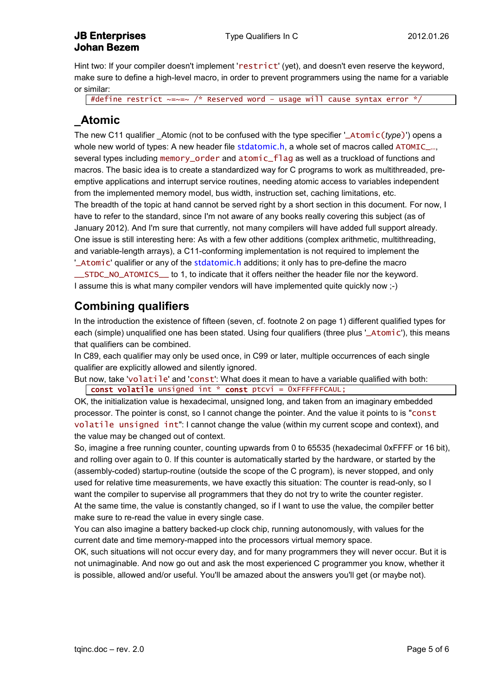#### **JB Enterprises** Type Qualifiers In C 2012.01.26 **Johan Bezem**

Hint two: If your compiler doesn't implement 'restrict' (yet), and doesn't even reserve the keyword, make sure to define a high-level macro, in order to prevent programmers using the name for a variable or similar:

#define restrict  $\sim=-/$  \* Reserved word – usage will cause syntax error \*,

# **\_Atomic**

The new C11 qualifier Atomic (not to be confused with the type specifier '\_Atomic(*type*)') opens a whole new world of types: A new header file stdatomic.h, a whole set of macros called ATOMIC\_..., several types including memory\_order and atomic\_flag as well as a truckload of functions and macros. The basic idea is to create a standardized way for C programs to work as multithreaded, preemptive applications and interrupt service routines, needing atomic access to variables independent from the implemented memory model, bus width, instruction set, caching limitations, etc. The breadth of the topic at hand cannot be served right by a short section in this document. For now, I have to refer to the standard, since I'm not aware of any books really covering this subject (as of January 2012). And I'm sure that currently, not many compilers will have added full support already. One issue is still interesting here: As with a few other additions (complex arithmetic, multithreading, and variable-length arrays), a C11-conforming implementation is not required to implement the '\_Atomic' qualifier or any of the stdatomic.h additions; it only has to pre-define the macro \_\_STDC\_NO\_ATOMICS\_\_ to 1, to indicate that it offers neither the header file nor the keyword. I assume this is what many compiler vendors will have implemented quite quickly now ;-)

## **Combining qualifiers**

In the introduction the existence of fifteen (seven, cf. footnote [2](#page-0-0) on page [1\)](#page-0-1) different qualified types for each (simple) unqualified one has been stated. Using four qualifiers (three plus '\_Atomic'), this means that qualifiers can be combined.

In C89, each qualifier may only be used once, in C99 or later, multiple occurrences of each single qualifier are explicitly allowed and silently ignored.

But now, take 'volatile' and 'const': What does it mean to have a variable qualified with both:

const volatile unsigned int \* const ptcvi = 0xFFFFFFCAUL;

OK, the initialization value is hexadecimal, unsigned long, and taken from an imaginary embedded processor. The pointer is const, so I cannot change the pointer. And the value it points to is "const volatile unsigned int": I cannot change the value (within my current scope and context), and the value may be changed out of context.

So, imagine a free running counter, counting upwards from 0 to 65535 (hexadecimal 0xFFFF or 16 bit), and rolling over again to 0. If this counter is automatically started by the hardware, or started by the (assembly-coded) startup-routine (outside the scope of the C program), is never stopped, and only used for relative time measurements, we have exactly this situation: The counter is read-only, so I want the compiler to supervise all programmers that they do not try to write the counter register. At the same time, the value is constantly changed, so if I want to use the value, the compiler better make sure to re-read the value in every single case.

You can also imagine a battery backed-up clock chip, running autonomously, with values for the current date and time memory-mapped into the processors virtual memory space.

OK, such situations will not occur every day, and for many programmers they will never occur. But it is not unimaginable. And now go out and ask the most experienced C programmer you know, whether it is possible, allowed and/or useful. You'll be amazed about the answers you'll get (or maybe not).